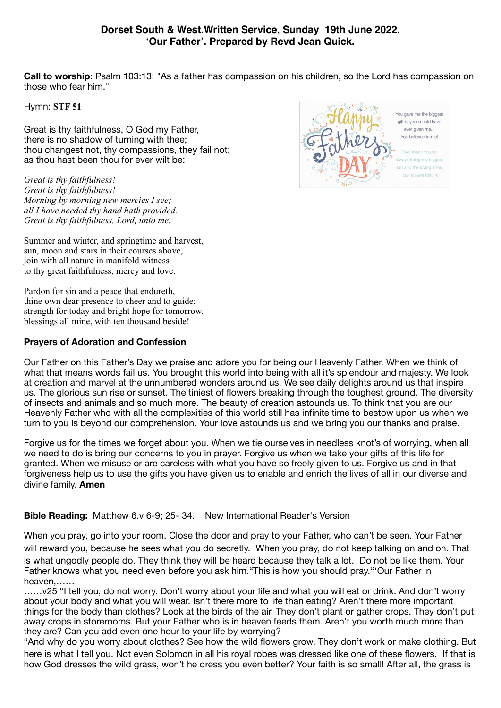# **Dorset South & West.Written Service, Sunday 19th June 2022. 'Our Father'. Prepared by Revd Jean Quick.**

**Call to worship:** Psalm 103:13: "As a father has compassion on his children, so the Lord has compassion on those who fear him."

Hymn: **STF 51**

Great is thy faithfulness, O God my Father, there is no shadow of turning with thee; thou changest not, thy compassions, they fail not; as thou hast been thou for ever wilt be:

*Great is thy faithfulness! Great is thy faithfulness! Morning by morning new mercies I see; all I have needed thy hand hath provided. Great is thy faithfulness, Lord, unto me.* 



Summer and winter, and springtime and harvest, sun, moon and stars in their courses above, join with all nature in manifold witness to thy great faithfulness, mercy and love:

Pardon for sin and a peace that endureth, thine own dear presence to cheer and to guide; strength for today and bright hope for tomorrow, blessings all mine, with ten thousand beside!

## **Prayers of Adoration and Confession**

Our Father on this Father's Day we praise and adore you for being our Heavenly Father. When we think of what that means words fail us. You brought this world into being with all it's splendour and majesty. We look at creation and marvel at the unnumbered wonders around us. We see daily delights around us that inspire us. The glorious sun rise or sunset. The tiniest of flowers breaking through the toughest ground. The diversity of insects and animals and so much more. The beauty of creation astounds us. To think that you are our Heavenly Father who with all the complexities of this world still has infinite time to bestow upon us when we turn to you is beyond our comprehension. Your love astounds us and we bring you our thanks and praise.

Forgive us for the times we forget about you. When we tie ourselves in needless knot's of worrying, when all we need to do is bring our concerns to you in prayer. Forgive us when we take your gifts of this life for granted. When we misuse or are careless with what you have so freely given to us. Forgive us and in that forgiveness help us to use the gifts you have given us to enable and enrich the lives of all in our diverse and divine family. **Amen**

## **Bible Reading:** Matthew 6.v 6-9; 25- 34. New International Reader's Version

When you pray, go into your room. Close the door and pray to your Father, who can't be seen. Your Father will reward you, because he sees what you do secretly. When you pray, do not keep talking on and on. That is what ungodly people do. They think they will be heard because they talk a lot. Do not be like them. Your Father knows what you need even before you ask him."This is how you should pray."'Our Father in heaven,……

……v25 "I tell you, do not worry. Don't worry about your life and what you will eat or drink. And don't worry about your body and what you will wear. Isn't there more to life than eating? Aren't there more important things for the body than clothes? Look at the birds of the air. They don't plant or gather crops. They don't put away crops in storerooms. But your Father who is in heaven feeds them. Aren't you worth much more than they are? Can you add even one hour to your life by worrying?

"And why do you worry about clothes? See how the wild flowers grow. They don't work or make clothing. But here is what I tell you. Not even Solomon in all his royal robes was dressed like one of these flowers. If that is how God dresses the wild grass, won't he dress you even better? Your faith is so small! After all, the grass is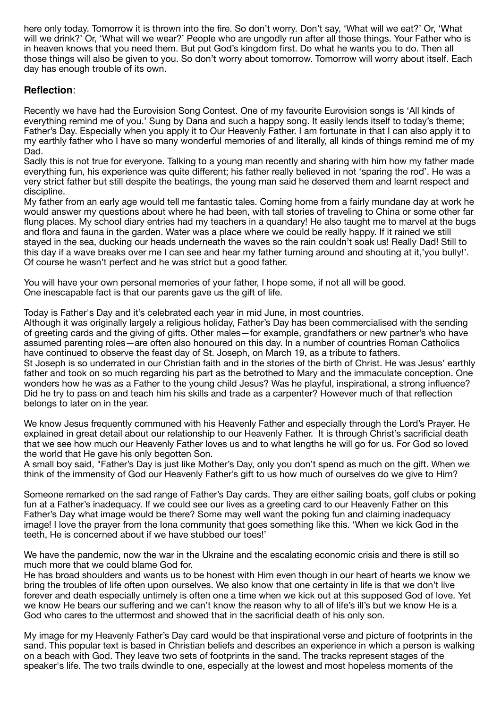here only today. Tomorrow it is thrown into the fire. So don't worry. Don't say, 'What will we eat?' Or, 'What will we drink?' Or, 'What will we wear?' People who are ungodly run after all those things. Your Father who is in heaven knows that you need them. But put God's kingdom first. Do what he wants you to do. Then all those things will also be given to you. So don't worry about tomorrow. Tomorrow will worry about itself. Each day has enough trouble of its own.

# **Reflection**:

Recently we have had the Eurovision Song Contest. One of my favourite Eurovision songs is 'All kinds of everything remind me of you.' Sung by Dana and such a happy song. It easily lends itself to today's theme; Father's Day. Especially when you apply it to Our Heavenly Father. I am fortunate in that I can also apply it to my earthly father who I have so many wonderful memories of and literally, all kinds of things remind me of my Dad.

Sadly this is not true for everyone. Talking to a young man recently and sharing with him how my father made everything fun, his experience was quite different; his father really believed in not 'sparing the rod'. He was a very strict father but still despite the beatings, the young man said he deserved them and learnt respect and discipline.

My father from an early age would tell me fantastic tales. Coming home from a fairly mundane day at work he would answer my questions about where he had been, with tall stories of traveling to China or some other far flung places. My school diary entries had my teachers in a quandary! He also taught me to marvel at the bugs and flora and fauna in the garden. Water was a place where we could be really happy. If it rained we still stayed in the sea, ducking our heads underneath the waves so the rain couldn't soak us! Really Dad! Still to this day if a wave breaks over me I can see and hear my father turning around and shouting at it,'you bully!'. Of course he wasn't perfect and he was strict but a good father.

You will have your own personal memories of your father, I hope some, if not all will be good. One inescapable fact is that our parents gave us the gift of life.

Today is Father's Day and it's celebrated each year in mid June, in most countries.

Although it was originally largely a religious holiday, Father's Day has been commercialised with the sending of greeting cards and the giving of gifts. Other males—for example, grandfathers or new partner's who have assumed parenting roles—are often also honoured on this day. In a number of countries Roman Catholics have continued to observe the feast day of St. Joseph, on March 19, as a tribute to fathers.

St Joseph is so underrated in our Christian faith and in the stories of the birth of Christ. He was Jesus' earthly father and took on so much regarding his part as the betrothed to Mary and the immaculate conception. One wonders how he was as a Father to the young child Jesus? Was he playful, inspirational, a strong influence? Did he try to pass on and teach him his skills and trade as a carpenter? However much of that reflection belongs to later on in the year.

We know Jesus frequently communed with his Heavenly Father and especially through the Lord's Prayer. He explained in great detail about our relationship to our Heavenly Father. It is through Christ's sacrificial death that we see how much our Heavenly Father loves us and to what lengths he will go for us. For God so loved the world that He gave his only begotten Son.

A small boy said, "Father's Day is just like Mother's Day, only you don't spend as much on the gift. When we think of the immensity of God our Heavenly Father's gift to us how much of ourselves do we give to Him?

Someone remarked on the sad range of Father's Day cards. They are either sailing boats, golf clubs or poking fun at a Father's inadequacy. If we could see our lives as a greeting card to our Heavenly Father on this Father's Day what image would be there? Some may well want the poking fun and claiming inadequacy image! I love the prayer from the Iona community that goes something like this. 'When we kick God in the teeth, He is concerned about if we have stubbed our toes!'

We have the pandemic, now the war in the Ukraine and the escalating economic crisis and there is still so much more that we could blame God for.

He has broad shoulders and wants us to be honest with Him even though in our heart of hearts we know we bring the troubles of life often upon ourselves. We also know that one certainty in life is that we don't live forever and death especially untimely is often one a time when we kick out at this supposed God of love. Yet we know He bears our suffering and we can't know the reason why to all of life's ill's but we know He is a God who cares to the uttermost and showed that in the sacrificial death of his only son.

My image for my Heavenly Father's Day card would be that inspirational verse and picture of footprints in the sand. This popular text is based in Christian beliefs and describes an experience in which a person is walking on a beach with God. They leave two sets of footprints in the sand. The tracks represent stages of the speaker's life. The two trails dwindle to one, especially at the lowest and most hopeless moments of the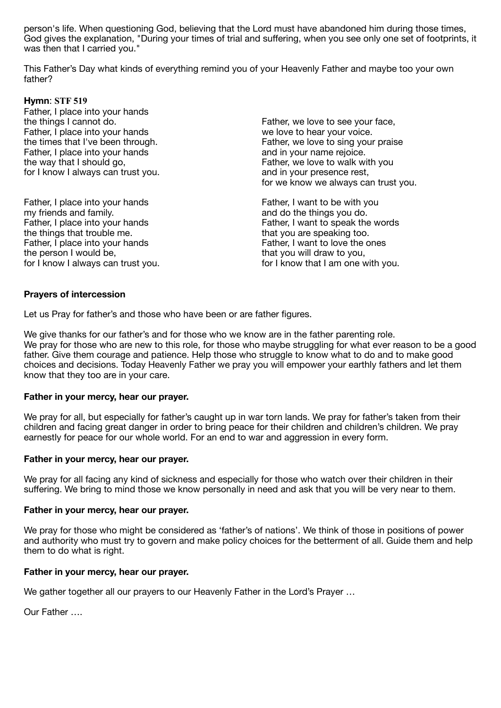person's life. When questioning God, believing that the Lord must have abandoned him during those times, God gives the explanation, "During your times of trial and suffering, when you see only one set of footprints, it was then that I carried you."

This Father's Day what kinds of everything remind you of your Heavenly Father and maybe too your own father?

## **Hymn**: **STF 519**

Father, I place into your hands the things I cannot do. Father, I place into your hands the times that I've been through. Father, I place into your hands the way that I should go, for I know I always can trust you.

Father, I place into your hands my friends and family. Father, I place into your hands the things that trouble me. Father, I place into your hands the person I would be, for I know I always can trust you. Father, we love to see your face, we love to hear your voice. Father, we love to sing your praise and in your name rejoice. Father, we love to walk with you and in your presence rest, for we know we always can trust you.

Father, I want to be with you and do the things you do. Father, I want to speak the words that you are speaking too. Father, I want to love the ones that you will draw to you, for I know that I am one with you.

#### **Prayers of intercession**

Let us Pray for father's and those who have been or are father figures.

We give thanks for our father's and for those who we know are in the father parenting role. We pray for those who are new to this role, for those who maybe struggling for what ever reason to be a good father. Give them courage and patience. Help those who struggle to know what to do and to make good choices and decisions. Today Heavenly Father we pray you will empower your earthly fathers and let them know that they too are in your care.

#### **Father in your mercy, hear our prayer.**

We pray for all, but especially for father's caught up in war torn lands. We pray for father's taken from their children and facing great danger in order to bring peace for their children and children's children. We pray earnestly for peace for our whole world. For an end to war and aggression in every form.

#### **Father in your mercy, hear our prayer.**

We pray for all facing any kind of sickness and especially for those who watch over their children in their suffering. We bring to mind those we know personally in need and ask that you will be very near to them.

#### **Father in your mercy, hear our prayer.**

We pray for those who might be considered as 'father's of nations'. We think of those in positions of power and authority who must try to govern and make policy choices for the betterment of all. Guide them and help them to do what is right.

#### **Father in your mercy, hear our prayer.**

We gather together all our prayers to our Heavenly Father in the Lord's Prayer ...

Our Father ….